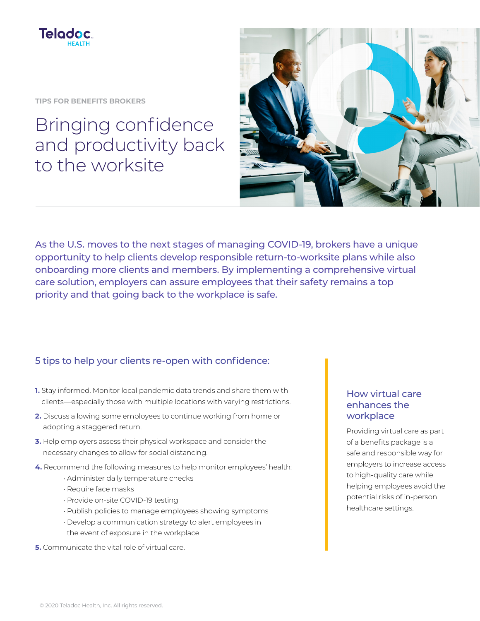

**TIPS FOR BENEFITS BROKERS**

# Bringing confidence and productivity back to the worksite



As the U.S. moves to the next stages of managing COVID-19, brokers have a unique opportunity to help clients develop responsible return-to-worksite plans while also onboarding more clients and members. By implementing a comprehensive virtual care solution, employers can assure employees that their safety remains a top priority and that going back to the workplace is safe.

## 5 tips to help your clients re-open with confidence:

- **1.** Stay informed. Monitor local pandemic data trends and share them with clients—especially those with multiple locations with varying restrictions.
- **2.** Discuss allowing some employees to continue working from home or adopting a staggered return.
- **3.** Help employers assess their physical workspace and consider the necessary changes to allow for social distancing.
- **4.** Recommend the following measures to help monitor employees' health:
	- Administer daily temperature checks
	- Require face masks
	- Provide on-site COVID-19 testing
	- Publish policies to manage employees showing symptoms
	- Develop a communication strategy to alert employees in the event of exposure in the workplace
- **5.** Communicate the vital role of virtual care.

### How virtual care enhances the workplace

Providing virtual care as part of a benefits package is a safe and responsible way for employers to increase access to high-quality care while helping employees avoid the potential risks of in-person healthcare settings.